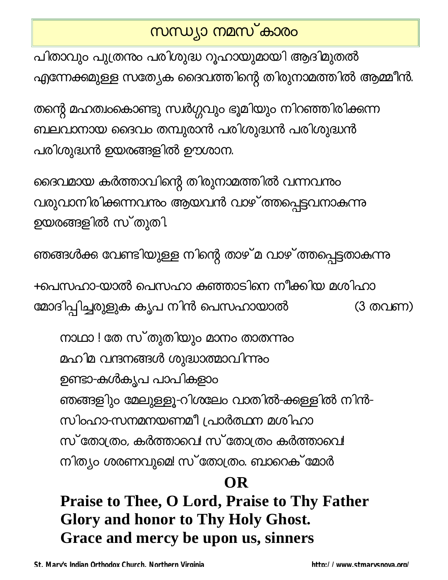# സന്ധ്യാ നമസ്കാരം

പിതാവും പുത്രന്തം പരിശുദ്ധ റൂഹായുമായി ആദിമുതൽ എന്നേക്കമുള്ള സത്യേക ദൈവത്തിന്റെ തിരുനാമത്തിൽ ആമ്മീൻ.

തന്റെ മഹത്വംകൊണ്ടു സ്വർഗ്ഗവും ഭൂമിയും നിറഞ്ഞിരിക്കന്ന ബലവാനായ ദൈവം തമ്പുരാൻ പരിശുദ്ധൻ പരിശുദ്ധൻ പരിശുദ്ധൻ ഉയരങ്ങളിൽ ഊശാന.

ദൈവമായ കർത്താവിന്റെ തിരുനാമത്തിൽ വന്നവന്നും വരുവാനിരിക്കന്നവന്നം ആയവൻ വാഴ് ത്തപ്പെട്ടവനാകന്നു ഉയരങ്ങളിൽ സ്തുതി

ഞങ്ങൾക്ക വേണ്ടിയുള്ള നിന്റെ താഴ് മ വാഴ് ത്തപ്പെട്ടതാകന്നു

+പെസഹാ-യാൽ പെസഹാ കഞ്ഞാടിനെ നീക്കിയ മശിഹാ മോദിപ്പിച്ചരുളുക കൃപ നിൻ പെസഹായാൽ (3 തവണ)

നാഥാ ! തേ സ്തുതിയും മാനം താതന്നും മഹിമ വന്ദനങ്ങൾ ശുദ്ധാത്മാവിന്നും ഉണ്ടാ-കൾകൃപ പാപികളാം ഞങ്ങളിും മേലുള്ളൂ-റിശലേം വാതിൽ-ക്കള്ളിൽ നിൻ-സിംഹാ-സനമനയണമീ പ്രാർത്ഥന മശിഹാ സ് തോത്രം, കർത്താവെ! സ് തോത്രം കർത്താവെ! നിത്യം ശരണവുമെ! സ്തോത്രം. ബാറെക് മോർ

# OR

# **Praise to Thee, O Lord, Praise to Thy Father Glory and honor to Thy Holy Ghost.** Grace and mercy be upon us, sinners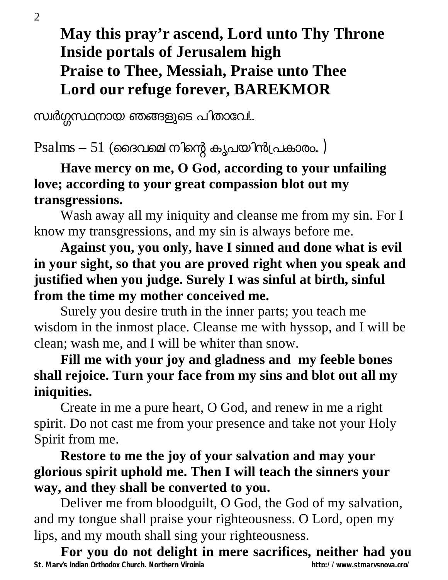**May this pray'r ascend, Lord unto Thy Throne Inside portals of Jerusalem high Praise to Thee, Messiah, Praise unto Thee Lord our refuge forever, BAREKMOR**

 $m$  $\delta$ ഗ്ഗസ്ഥനായ ഞങ്ങളുടെ പിതാവേ!...

 $\operatorname{Psalms} - 51$  (ദൈവമെ! നിന്റെ കൃപയിൻപ്രകാരം..)

**Have mercy on me, O God, according to your unfailing love; according to your great compassion blot out my transgressions.** 

Wash away all my iniquity and cleanse me from my sin. For I know my transgressions, and my sin is always before me.

**Against you, you only, have I sinned and done what is evil in your sight, so that you are proved right when you speak and justified when you judge. Surely I was sinful at birth, sinful from the time my mother conceived me.** 

Surely you desire truth in the inner parts; you teach me wisdom in the inmost place. Cleanse me with hyssop, and I will be clean; wash me, and I will be whiter than snow.

**Fill me with your joy and gladness and my feeble bones shall rejoice. Turn your face from my sins and blot out all my iniquities.** 

Create in me a pure heart, O God, and renew in me a right spirit. Do not cast me from your presence and take not your Holy Spirit from me.

**Restore to me the joy of your salvation and may your glorious spirit uphold me. Then I will teach the sinners your way, and they shall be converted to you.** 

Deliver me from bloodguilt, O God, the God of my salvation, and my tongue shall praise your righteousness. O Lord, open my lips, and my mouth shall sing your righteousness.

St. Mary's Indian Orthodox Church, Northern Virginia **http://www.stmarysnova.org/ For you do not delight in mere sacrifices, neither had you**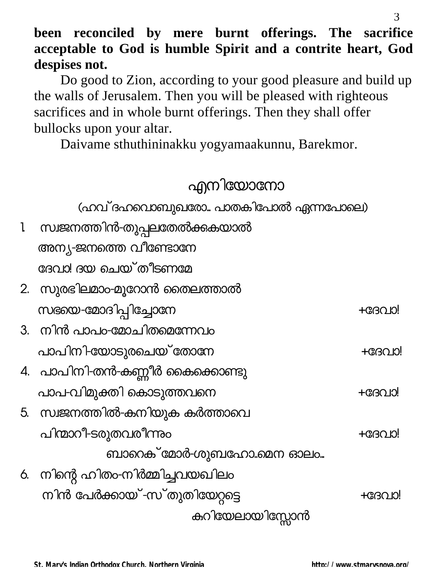been reconciled by mere burnt offerings. The sacrifice acceptable to God is humble Spirit and a contrite heart, God despises not.

Do good to Zion, according to your good pleasure and build up the walls of Jerusalem. Then you will be pleased with righteous sacrifices and in whole burnt offerings. Then they shall offer bullocks upon your altar.

Daivame sthuthininakku yogyamaakunnu, Barekmor.

#### എനിയോനോ

(ഹവ് ദഹവൊബുഖരോ... പാതകിപോൽ ഏന്നപോലെ)

- സ്വജനത്തിൻ-തുപ്പലതേൽക്കുകയാൽ  $\mathbf{l}$ അന്യ-ജനത്തെ വീണ്ടോനേ ദേവാ! ദയ ചെയ്തീടണമേ
- 2. സുരഭിലമാം-മൂറോൻ തൈലത്താൽ സഭയെ-മോദിപ്പിച്ചോനേ
- 3. നിൻ പാപം-മോചിതമെന്നേവം പാപിനി-യോടുരചെയ് തോനേ
- 4. പാപിനി-തൻ-കണ്ണീർ കൈക്കൊണ്ടു പാപ-വിമുക്തി കൊടുത്തവനെ
- സ്വജനത്തിൽ-കനിയുക കർത്താവെ 5. പിന്മാറീ-ടരുതവരീന്നും

ബാറെക് മോർ-ശുബഹോ.മെന ഓലം...

6. നിന്റെ ഹിതം-നിർമ്മിച്ചവയഖിലം നിൻ പേർക്കായ് -സ്തുതിയേറ്റട്ടെ  $+$ GBO IO കുറിയേലായിസ്സോൻ

 $+$ G $\Omega$ 

 $+$ 300 IO.

 $+$ G $\Omega$ 

 $+$ G $\Omega$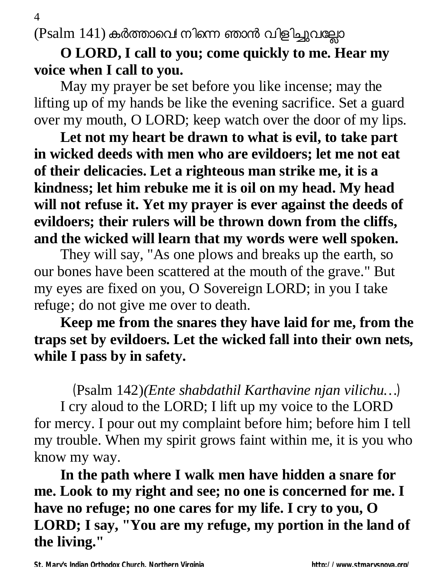4

 $(Psalm 141)$  കർത്താവെ! നിന്നെ ഞാൻ വിളിച്ചുവല്ലോ

**O LORD, I call to you; come quickly to me. Hear my voice when I call to you.** 

May my prayer be set before you like incense; may the lifting up of my hands be like the evening sacrifice. Set a guard over my mouth, O LORD; keep watch over the door of my lips.

**Let not my heart be drawn to what is evil, to take part in wicked deeds with men who are evildoers; let me not eat of their delicacies. Let a righteous man strike me, it is a kindness; let him rebuke me it is oil on my head. My head will not refuse it. Yet my prayer is ever against the deeds of evildoers; their rulers will be thrown down from the cliffs, and the wicked will learn that my words were well spoken.** 

They will say, "As one plows and breaks up the earth, so our bones have been scattered at the mouth of the grave." But my eyes are fixed on you, O Sovereign LORD; in you I take refuge; do not give me over to death.

**Keep me from the snares they have laid for me, from the traps set by evildoers. Let the wicked fall into their own nets, while I pass by in safety.**

(Psalm 142)*(Ente shabdathil Karthavine njan vilichu…)*

I cry aloud to the LORD; I lift up my voice to the LORD for mercy. I pour out my complaint before him; before him I tell my trouble. When my spirit grows faint within me, it is you who know my way.

**In the path where I walk men have hidden a snare for me. Look to my right and see; no one is concerned for me. I have no refuge; no one cares for my life. I cry to you, O LORD; I say, "You are my refuge, my portion in the land of the living."**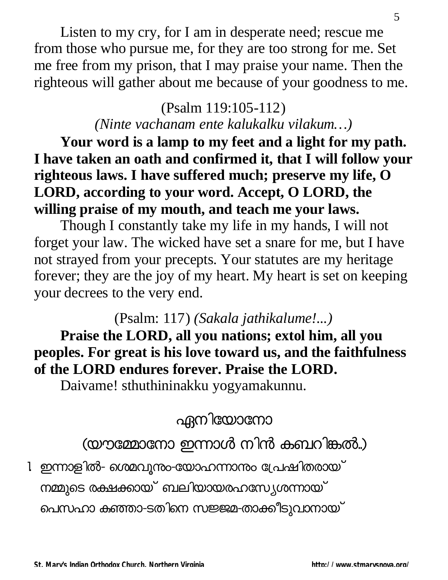Listen to my cry, for I am in desperate need; rescue me from those who pursue me, for they are too strong for me. Set me free from my prison, that I may praise your name. Then the righteous will gather about me because of your goodness to me.

### (Psalm 119:105-112)

*(Ninte vachanam ente kalukalku vilakum…)*

**Your word is a lamp to my feet and a light for my path. I have taken an oath and confirmed it, that I will follow your righteous laws. I have suffered much; preserve my life, O LORD, according to your word. Accept, O LORD, the willing praise of my mouth, and teach me your laws.** 

Though I constantly take my life in my hands, I will not forget your law. The wicked have set a snare for me, but I have not strayed from your precepts. Your statutes are my heritage forever; they are the joy of my heart. My heart is set on keeping your decrees to the very end.

(Psalm: 117) *(Sakala jathikalume!...)*

## **Praise the LORD, all you nations; extol him, all you peoples. For great is his love toward us, and the faithfulness of the LORD endures forever. Praise the LORD.**

Daivame! sthuthininakku yogyamakunnu.

1. ഇന്നാളിൽ- ശെമവൂന്തം-യോഹന്നാന്തം പ്രേഷിതരായ്

നമ്മുടെ രക്ഷക്കായ് ബലിയായരഹസ്യേശന്നായ്

# $\alpha$ R $\alpha$ ) ദയാനോ

# (യൗമ്മോനോ ഇന്നാൾ നിൻ കബറിങ്കൽ..)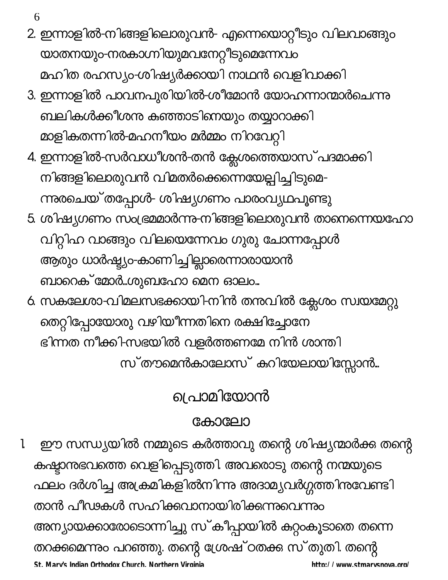- 6
- 2. ഇന്നാളിൽ-നിങ്ങളിലൊരുവൻ- എന്നെയൊറ്റീടും വിലവാങ്ങും യാതനയും-നരകാഗ്നിയുമവനേറ്റീടുമെന്നേവം മഹിത രഹസ്യം-ശിഷ്യർക്കായി നാഥൻ വെളിവാക്കി
- 3. ഇന്നാളിൽ പാവനപുരിയിൽ-ശീമോൻ യോഹന്നാന്മാർചെന്നു ബലികൾക്കീശന കഞ്ഞാടിണയും തയ്യാറാക്കി മാളികതന്നിൽ-മഹനീയം മർമ്മം നിറവേറ്റി
- 4. ഇന്നാളിൽ-സർവാധീശൻ-തൻ ക്ലേശത്തെയാസ് പദമാക്കി നിങ്ങളിലൊരുവൻ വിമതർക്കെന്നെയേല്പിച്ചിടുമെ-ന്നുരചെയ്തപ്പോൾ- ശിഷ്യഗണം പാരംവ്യഥപൂണ്ടു
- 5. ശിഷ്യഗണം സംഭ്രമമാർന്നു-നിങ്ങളിലൊരുവൻ താനെന്നെയഹോ വിറ്റിഹ വാങ്ങും വിലയെന്നേവം ഗുരു ചോന്നപ്പോൾ ആരും ധാർഷ്ട്യം-കാണിച്ചില്ലാരെന്നാരായാൻ ബാറെക്്മോർ..ശുബഹോ മെന ഓലം..
- 6. സകലേശാ-വിമലസഭക്കായി-നിൻ തനുവിൽ ക്ലേശം സ്വയമേറ്റു തെറ്റിപ്പോയോരു വഴിയീന്നതിനെ രക്ഷിച്ചോനേ ഭിന്നത നീക്കി-സഭയിൽ വളർത്തണമേ നിൻ ശാന്തി സ്തൗമെൻകാലോസ് കറിയേലായിസ്സോൻ...

# പ്രൊമിയോൻ

### കോലോ

ഈ സന്ധ്യയിൽ നമ്മുടെ കർത്താവു തന്റെ ശിഷ്യന്മാർക്ക തന്റെ  $\mathbf{l}$ കഷ്ടാനുഭവത്തെ വെളിപ്പെടുത്തി. അവരൊടു തന്റെ നന്മയുടെ ഫലം ദർശിച്ച അക്രമികളിൽനിന്നു അദാമ്യവർഗ്ഗത്തിനുവേണ്ടി താൻ പീഢകൾ സഹിക്കവാനായിരിക്കന്നുവെന്നും അന്യായക്കാരോടൊന്നിച്ചു സ്കീപ്പായിൽ കറ്റംകൂടാതെ തന്നെ തറക്കുമെന്നും പറഞ്ഞു. തന്റെ ശ്രേഷ് ഠതക്ക സ്തുതി. തന്റെ St Marv's Indian Orthodox Church Northern Virginia httn://www.stmarysnova.org/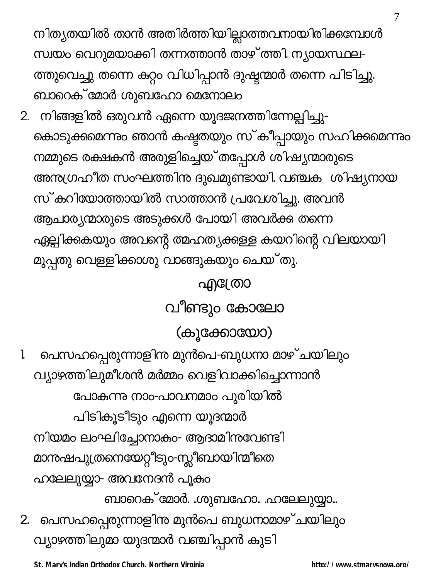നിത്യതയിൽ താൻ അതിർത്തിയില്ലാത്തവനായിരിക്കുമ്പോൾ സ്വയം വെറുമയാക്കി തന്നത്താൻ താഴ് ത്തി നൃായസ്ഥല-ത്തുവെച്ചു തന്നെ കറ്റം വിധിപ്പാൻ ദുഷ്ടന്മാർ തന്നെ പിടിച്ചു. ബാറെക് മോർ ശുബഹോ മെനോലം

2. നിങ്ങളിൽ ഒരുവൻ ഏന്നെ യൂദജനത്തിന്നേല്പിച്ചു-കൊടുക്കമെന്നും ഞാൻ കഷ്ടതയും സ്കീപ്പായും സഹിക്കമെന്നും നമ്മുടെ രക്ഷകൻ അരുളിച്ചെയ്തപ്പോൾ ശിഷ്യന്മാരുടെ അനുഗ്രഹീത സംഘത്തിനു ദുഖമുണ്ടായി വഞ്ചക ശിഷ്യനായ സ്കറിയോത്തായിൽ സാത്താൻ പ്രവേശിച്ചു. അവൻ ആചാര്യന്മാരുടെ അടുക്കൾ പോയി അവർക്കു തന്നെ ഏല്പിക്കുകയും അവന്റെ ത്മഹത്യക്കുള്ള കയറിന്റെ വിലയായി മുപ്പതു വെള്ളിക്കാശു വാങ്ങുകയും ചെയ്തു.

എ്രോ

വീണ്ടും കോലോ

(കുക്കോയോ)

പെസഹപ്പെരുന്നാളിനു മുൻപെ-ബുധനാ മാഴ് ചയിലും  $\mathbf{l}$ വ്യാഴത്തിലുമീശൻ മർമ്മം വെളിവാക്കിച്ചൊന്നാൻ പോകുന്നു നാഠ-പാവനമാം പുരിയിൽ പിടികൂടീടും എന്നെ യൂദന്മാർ നിയമം ലംഘിച്ചോനാകം- ആദാമിനുവേണ്ടി മാന്നഷപുത്രനെയേറ്റീടും-സ്ലീബായിന്മീതെ ഹലേലുയ്യാ- അവനേദൻ പൂകം ബാറെക് മോർ. .ശുബഹോ. ഹലേലുയ്യാ.. 2. പെസഹപ്പെരുന്നാളിനു മുൻപെ ബുധനാമാഴ് ചയിലും വ്യാഴത്തിലുമാ യൂദന്മാർ വഞ്ചിപ്പാൻ കൂടി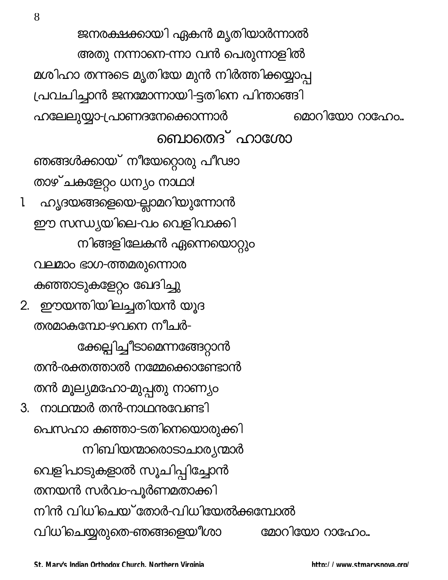ജനരക്ഷക്കായി ഏകൻ മൃതിയാർന്നാൽ അതു നന്നാനെ-ന്നാ വൻ പെരുന്നാളിൽ മശിഹാ തന്നുടെ മൃതിയേ മുൻ നിർത്തിക്കയ്യാപ്പ പ്രവചിച്ചാൻ ജനമോന്നായി-ട്ടതിനെ പിന്താങ്ങി മൊറിയോ റാഹേം... ഹലേലുയ്യാ-പ്രാണദനേക്കൊന്നാർ ബൊതെദ് ഹാശോ ഞങ്ങൾക്കായ് നീയേറ്റൊരു പീഢാ താഴ്ചകളേറ്റം ധന്യം നാഥാ! ഹ്യദയങ്ങളെയെ-ല്ലാമറിയുന്നോൻ l ഈ സന്ധ്യയിലെ-വം വെളിവാക്കി നിങ്ങളിലേകൻ ഏന്നെയൊറ്റും വലമാം ഭാഗ-ത്തമരുന്നൊര കഞ്ഞാടുകളേറ്റം ഖേദിച്ചു 2. ഈയന്തിയിലച്ചതിയൻ യൂദ തരമാകുമ്പോ-ഴവനെ നീചർ-ക്കേല്പിച്ചീടാമെന്നങ്ങേറ്റാൻ തൻ-രക്തത്താൽ നമ്മേക്കൊണ്ടോൻ തൻ മൂല്യമഹോ-മുപ്പതു നാണ്യം 3. നാഥന്മാർ തൻ-നാഥനവേണ്ടി പെസഹാ കഞ്ഞാ-ടതിനെയൊരുക്കി നിബിയന്മാരൊടാചാര്യന്മാർ വെളിപാടുകളാൽ സൂചിപ്പിച്ചോൻ തനയൻ സർവം-പൂർണമതാക്കി നിൻ വിധിചെയ് തോർ-വിധിയേൽക്കമ്പോൽ വിധിചെയ്യരുതെ-ഞങ്ങളെയീശാ മോറിയോ റാഫോം...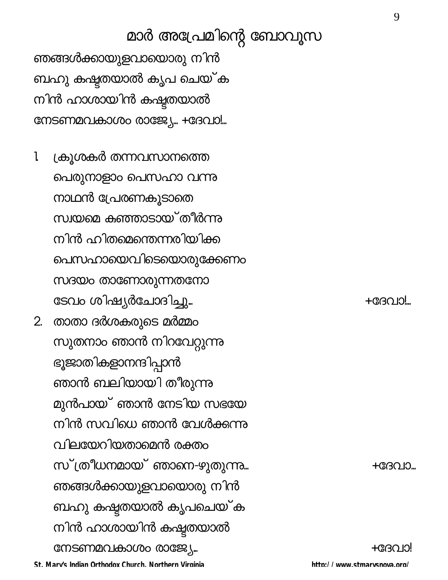# മാർ അപ്രേമിന്റെ ബോവൂസ

ഞങ്ങൾക്കായുളവായൊരു നിൻ ബഹു കഷ്ടതയാൽ കൃപ ചെയ<sup>്</sup>ക നിൻ ഹാശായിൻ കഷ്ടതയാൽ നേടണമവകാശം രാജ്യേ... +ദേവാ!...

- 1. ക്രുശകർ തന്നവസാനത്തെ പെരുനാളാം പെസഹാ വന്നു നാഥൻ പ്രേരണകൂടാതെ സ്വയമെ കഞ്ഞാടായ് തീർന്നു നിൻ ഹിതമെന്തെന്നരിയിക്ക പെസഹായെവിടെയൊരുക്കേണം സദയം താണോരുന്നതനോ ടേവം ശിഷ്യപ്പോദിച്ചു...
- $2.$ താതാ ദർശകരുടെ മർമ്മം സുതനാം ഞാൻ നിറവേറ്റുന്നു ഭൂജാതികളാനന്ദിപ്പാൻ ഞാൻ ബലിയായി തീരുന്നു മുൻപായ് ഞാൻ നേടിയ സഭയേ നിൻ സവിധെ ഞാൻ വേൾക്കന്നു വിലയേറിയതാമെൻ രക്തം സ്ത്രീധനമായ് ഞാനെ-ഴുതുന്നു... ഞങ്ങൾക്കായുളവായൊരു നിൻ ബഹു കഷ്ടതയാൽ കൃപചെയ് ക നിൻ ഹാശായിൻ കഷ്ടതയാൽ നേടണമവകാശം രാജ്യേ...

 $+$ ദ $\alpha$ വി...

 $+$ G $\Omega$ OJO...



St Marv's Indian Orthodox Church Northern Virginia

httn://www.stmarysnova.org/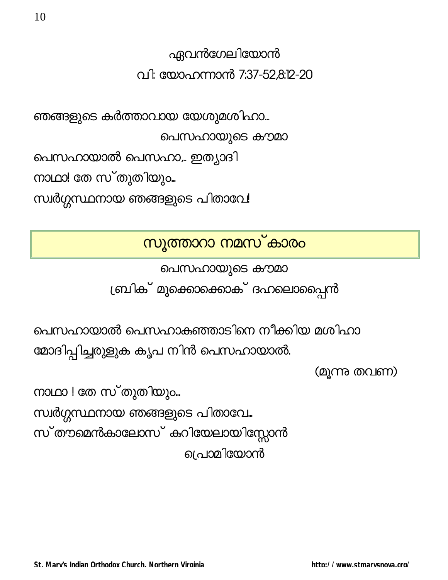ഏവൻഗേലിയോൻ

#### വി: യോഹന്നാൻ 7:37-52,8:12-20

ഞങ്ങളുടെ കർത്താവായ യേശുമശിഹാ... പെസഹായുടെ കൗമാ പെസഹായാൽ പെസഹാ, ഇത്യാദി നാഥാ! തേ സ്തുതിയും... സ്വർഗ്ഗസ്ഥനായ ഞങ്ങളുടെ പിതാവേ!

<mark>സൂത്താറാ നമസ്കാരം</mark>

പെസഹായുടെ കൗമാ ബ്രിക് മൂക്കൊക്കൊക് ദഹലൊപ്പൈൻ

പെസഹായാൽ പെസഹാകഞ്ഞാടിനെ നീക്കിയ മശിഹാ മോദിപ്പിച്ചരുളുക കൃപ നിൻ പെസഹായാൽ.

(മൂന്നു തവണ)

നാഥാ ! തേ സ്തുതിയും... സ്വർഗ്ഗസ്ഥനായ ഞങ്ങളുടെ പിതാവേ... സ്തൗമെൻകാലോസ് കറിയേലായിസ്സോൻ പ്രൊമിയോൻ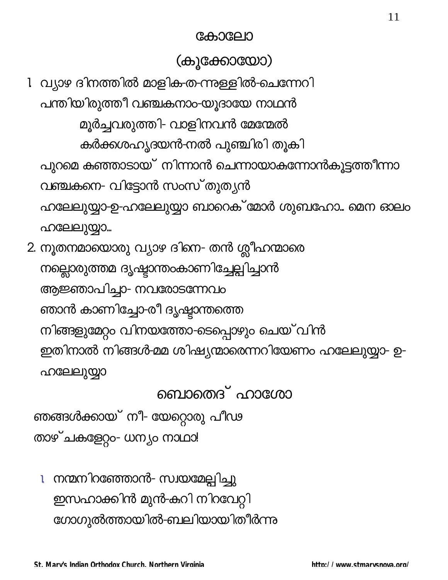#### കോലോ

# (കുക്കോയോ)

1 വ്യാഴ ദിനത്തിൽ മാളിക-ത-ന്നുള്ളിൽ-ചെന്നേറി പന്തിയിരുത്തീ വഞ്ചകനാം-യൂദായേ നാഥൻ മൂർച്ചവരുത്തി- വാളിനവൻ മേന്മേൽ കർക്കശഹൃദയൻ-നൽ പുഞ്ചിരി തൂകി പുറമെ കഞ്ഞാടായ് നിന്നാൻ ചെന്നായാകന്നോൻകൂട്ടത്തീന്നാ വഞ്ചകനെ- വിട്ടോൻ സംസ്തുതൃൻ ഹലേലുയ്യാ-ഉ-ഹലേലുയ്യാ ബാറെക് മോർ ശുബഹോ... മെന ഓലം ഹലേലുയ്യാ...

2. നൂതനമായൊരു വ്യാഴ ദിനെ- തൻ ശ്ലീഹന്മാരെ നല്ലൊരുത്തമ ദൃഷ്ടാന്തംകാണിച്ചേല്പിച്ചാൻ ആജ്ഞാപിച്ചാ- നവരോടന്നേവം ഞാൻ കാണിച്ചോ-രീ ദൃഷ്ടാന്തത്തെ നിങ്ങളുമേറ്റം വിനയത്തോ-ടെപ്പൊഴും ചെയ് വിൻ ഇതിനാൽ നിങ്ങൾ-മമ ശിഷ്യന്മാരെന്നറിയേണം ഹലേലുയ്യാ- ഉ-ഹലേലുയ്യാ

ബൊതെദ് ഹാശോ

ഞങ്ങൾക്കായ് നീ- യേറ്റൊരു പീഢ താഴ്ചകളേറ്റം- ധന്യം നാഥാ!

1 നന്മനിറഞ്ഞോൻ- സ്വയമേല്പിച്ചു ഇസഹാക്കിൻ മുൻ-കറി നിറവേറ്റി ഗോഗുൽത്തായിൽ-ബലിയായിതീർന്നു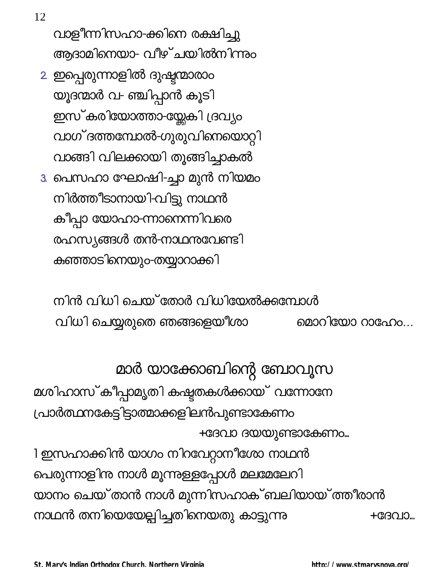- 2 ഇപ്പെരുന്നാളിൽ ദുഷ്ടന്മാരാം യൂദന്മാർ വ- ഞ്ചിപ്പാൻ കൂടി ഇസ് കരിയോത്താ-യ്ക്കേി ദ്രവ്യം വാഗ് ദത്തമ്പോൽ-ഗുരുവിനെയൊറ്റി വാങ്ങി വിലക്കായി തൂങ്ങിച്ചാകൽ
- 3. പെസഹാ ഘോഷി-ച്ചാ മുൻ നിയമം നിർത്തീടാനായി-വിട്ടു നാഥൻ കീപ്പാ യോഹാ-ന്നാനെന്നിവരെ രഹസ്യങ്ങൾ തൻ-നാഥനവേണ്ടി കുഞ്ഞാടിനെയും-തയ്യാറാക്കി

നിൻ വിധി ചെയ് തോർ വിധിയേൽക്കുമ്പോൾ വിധി ചെയ്യരുതെ ഞങ്ങളെയീശാ മൊറിയോ റാഹോം...

മാർ യാക്കോബിന്റെ ബോവൂസ മശിഹാസ്കീപ്പാമൃതി കഷ്ടതകൾക്കായ് വന്നോനേ പ്രാർത്ഥനകേട്ടിട്ടാത്മാക്കളിലൻപുണ്ടാകേണം +ദേവാ ദയയുണ്ടാകേണം... 1 ഇസഹാക്കിൻ യാഗം നിറവേറ്റാനീശോ നാഥൻ പെരുന്നാളിനു നാൾ മൂന്നുള്ളപ്പോൾ മലമേലേറി യാനം ചെയ്താൻ നാൾ മുന്നിസഹാക് ബലിയായ്ത്തീരാൻ നാഥൻ തനിയെയേല്പിച്ചതിനെയതു കാട്ടുന്നു **+GBQI0...**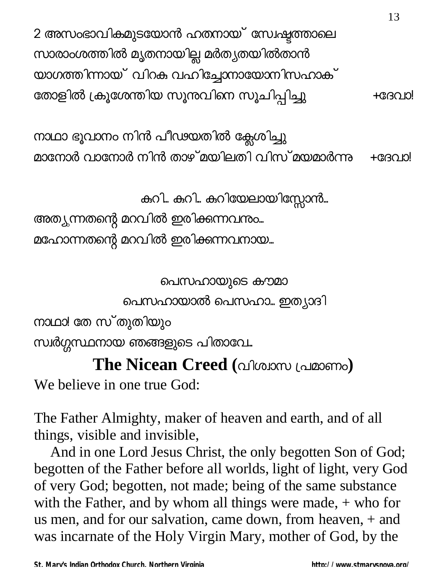2 അസംഭാവികമുടയോൻ ഹതനായ് സേഹ്മത്താലെ സാരാംശത്തിൽ മൃതനായില്ല മർത്യതയിൽതാൻ യാഗത്തിന്നായ് വിറക വഹിച്ചോനായോനിസഹാക് tXmfn {Iqti´nb kqëhns\ kqNn¸n¨p +tZhm!

നാഥാ ഭൂവാനം നിൻ പീഢയതിൽ ക്ലേശിച്ചു മാനോർ വാനോർ നിൻ താഴ്മയിലതി വിസ്മയമാർന്നു  $-$ ദേവാ!

കുറി… കുറിയേലായിസ്സോൻ…

അത്യൂന്നതന്റെ മറവിൽ ഇരിക്കന്നവന്തം...

മഹോന്നതന്റെ മറവിൽ ഇരിക്കന്നവനായ...

പെസഹായുടെ കൗമാ

പെസഹായാൽ പെസഹാ... ഇത്യാദി

ധാവാ യേ സ്തുതിയും

സ്വർഗ്ഗസ്ഥനായ ഞങ്ങളുടെ പിതാവേ...

# The Nicean Creed (വിശ്വാസ പ്രമാണം)

We believe in one true God:

The Father Almighty, maker of heaven and earth, and of all things, visible and invisible,

And in one Lord Jesus Christ, the only begotten Son of God; begotten of the Father before all worlds, light of light, very God of very God; begotten, not made; being of the same substance with the Father, and by whom all things were made,  $+$  who for us men, and for our salvation, came down, from heaven, + and was incarnate of the Holy Virgin Mary, mother of God, by the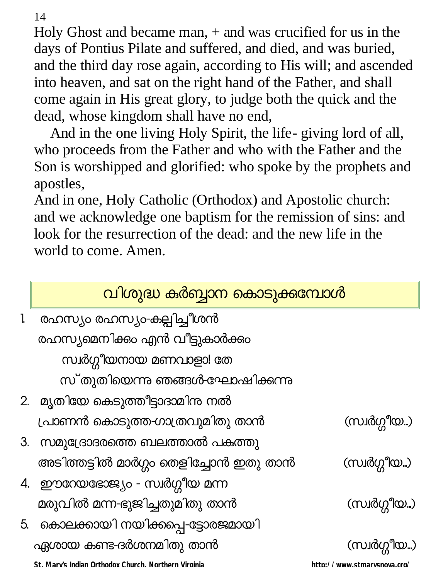14

Holy Ghost and became man,  $+$  and was crucified for us in the days of Pontius Pilate and suffered, and died, and was buried, and the third day rose again, according to His will; and ascended into heaven, and sat on the right hand of the Father, and shall come again in His great glory, to judge both the quick and the dead, whose kingdom shall have no end,

And in the one living Holy Spirit, the life-giving lord of all, who proceeds from the Father and who with the Father and the Son is worshipped and glorified: who spoke by the prophets and apostles,

And in one, Holy Catholic (Orthodox) and Apostolic church: and we acknowledge one baptism for the remission of sins: and look for the resurrection of the dead: and the new life in the world to come. Amen.

# വിശുദ്ധ കർബ്ബാന കൊടുക്കമ്പോൾ

| രഹസ്യം രഹസ്യം-കല്പിച്ചീശൻ             |                 |
|---------------------------------------|-----------------|
| രഹസ്യമെനിക്കം എൻ വീട്ടുകാർക്കം        |                 |
| സ്വർഗ്ഗീയനായ മണവാളാ! തേ               |                 |
| സ്തുതിയെന്നു ഞങ്ങൾ-ഘോഷിക്കന്നു        |                 |
| 2. മൃതിയേ കെടുത്തീട്ടാദാമിനു നൽ       |                 |
| പ്രാണൻ കൊടുത്ത-ഗാത്രവുമിതു താൻ        | (സ്വർഗ്ഗീത")    |
| 3. സമുദ്രോദരത്തെ ബലത്താൽ പകത്തു       |                 |
| അടിത്തട്ടിൽ മാർഗ്ഗം തെളിച്ചോൻ ഇതു താൻ | (സ്വർഗ്ഗീത")    |
| 4. ഈറേയഭോജ്യം - സ്വർഗ്ഗീയ മന്ന        |                 |
| മരുവിൽ മന്ന-ഭുജിച്ചതുമിതു താൻ         | (സ്വർ്റ്യയ്ത്") |
| 5. കൊലക്കായി നയിക്കപ്പെ-ട്ടോരജമായി    |                 |
| ഏശായ കണ്ട-ദർശനമിതു താൻ                | (സ്വർഗ്ഡ് ത്ര…) |
|                                       |                 |

httn://www.stmarvsnova.org/

St Marv's Indian Orthodox Church Northern Virginia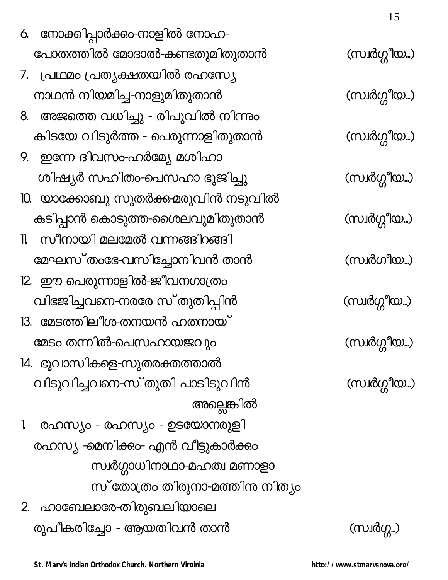|                                        | 15              |
|----------------------------------------|-----------------|
| 6. നോക്കിപ്പാർക്കം-നാളിൽ നോഹ-          |                 |
| പോതത്തിൽ മോദാൽ-കണ്ടതുമിതുതാൻ           | (ധ്നയ്യറ്റ്യത") |
| 7. പ്രഥമം പ്രത്യക്ഷതയിൽ രഹസ്യേ         |                 |
| നാഥൻ നിയമിച്ച-നാളുമിതുതാൻ              | (സ്വർഗ്ഗീയ")    |
| അജത്തെ വധിച്ചു - രിപുവിൽ നിന്നും<br>8. |                 |
| കിടയേ വിടുർത്ത - പെരുന്നാളിതുതാൻ       | (സ്വർഗ്ഗീയ")    |
| 9. ഇന്നേ ദിവസം-ഹർമ്യേ മശിഹാ            |                 |
| ശിഷ്യർ സഹിതം-പെസഹാ ഭുജിച്ചു            | (സ്വർഗ്ഗീയ")    |
| 10. യാക്കോബു സുതർക്ക-മരുവിൻ നടുവിൽ     |                 |
| കടിപ്പാൻ കൊടുത്ത-ശൈലവുമിതുതാൻ          | (സ്വർഗ്ഗീയ")    |
| സീനായി മലമേൽ വന്നങ്ങിറങ്ങി<br>11.      |                 |
| മേഘസ്തംഭേ-വസിച്ചോനിവൻ താൻ              | (സ്വർഗീയ…)      |
| 12. ഈ പെരുന്നാളിൽ-ജീവനഗാത്രം           |                 |
| വിഭജിച്ചവനെ-നരരേ സ്തുതിപ്പിൻ           | (ധ്നയ്യ്യ്യത")  |
| 13. മേടത്തിലീശ-തനയൻ ഹത്നായ്            |                 |
| മേടം തന്നിൽ-പെസഹായജവും                 | (സ്വർഗ്ഗീയ")    |
| 14. ഭൂവാസികളെ-സുതരക്തത്താൽ             |                 |
| വിടുവിച്ചവനെ-സ്തുതി പാടിടുവിൻ          | (സ്വർറ്റ്യയ…)   |
| അല്ലെങ്കിൽ                             |                 |
| രഹസ്യം - രഹസ്യം - ഉടയോനരുളി            |                 |
| രഹസ്യ -മെനിക്കം- എൻ വീട്ടുകാർക്കം      |                 |
| ഗ്നിഗ്ഗാധിനാഥാ-മഹത്വ മണാളാ             |                 |
| സ് തോത്രം തിരുനാ-മത്തിനു നിത്യം        |                 |
| 2. ഹാബേലാരേ-തിരുബലിയാലെ                |                 |
| രൂപീകരിച്ചോ - ആയതിവൻ താൻ               | (സ്വർഗ്ഗ്)      |
|                                        |                 |